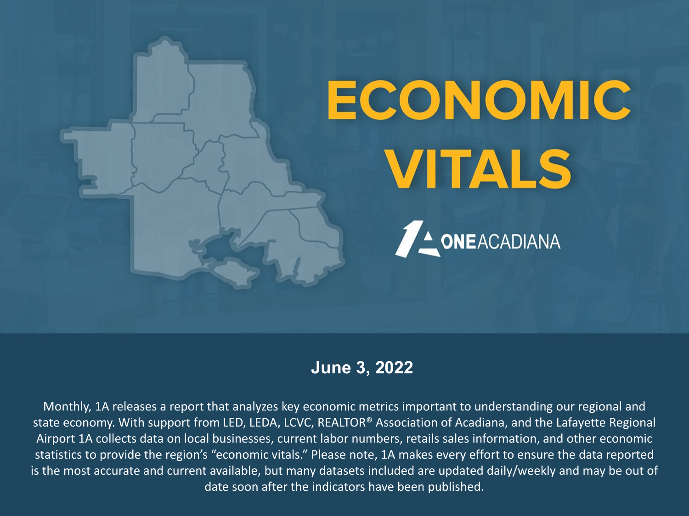# ECONOMIC **VITALS**



## **June 3, 2022**

Monthly, 1A releases a report that analyzes key economic metrics important to understanding our regional and state economy. With support from LED, LEDA, LCVC, REALTOR® Association of Acadiana, and the Lafayette Regional Airport 1A collects data on local businesses, current labor numbers, retails sales information, and other economic statistics to provide the region's "economic vitals." Please note, 1A makes every effort to ensure the data reported is the most accurate and current available, but many datasets included are updated daily/weekly and may be out of date soon after the indicators have been published.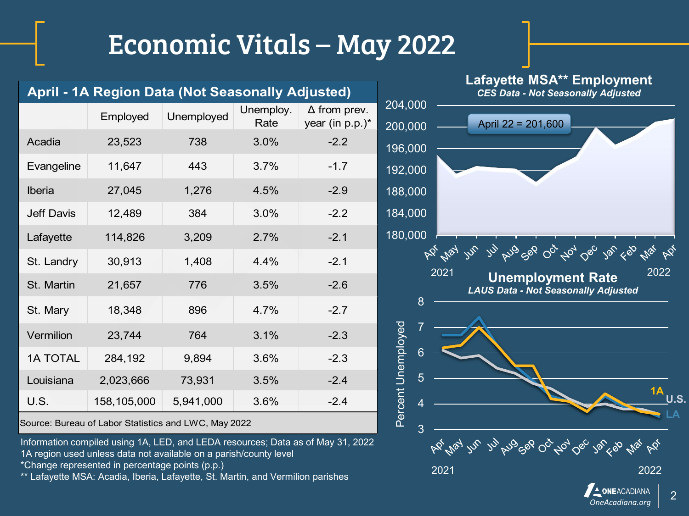|                   | April - 1A Region Data (Not Seasonally Adjusted)                                                                                   |            |                   |                                                                                 | Laiayette MOA Linployment<br><b>CES Data - Not Seasonally Adjusted</b>         |
|-------------------|------------------------------------------------------------------------------------------------------------------------------------|------------|-------------------|---------------------------------------------------------------------------------|--------------------------------------------------------------------------------|
|                   | Employed                                                                                                                           | Unemployed | Unemploy.<br>Rate | $\Delta$ from prev.<br>year (in $p.p.$ )*                                       | 204,000<br>April 22 = 201,600<br>200,000                                       |
| Acadia            | 23,523                                                                                                                             | 738        | 3.0%              | $-2.2$                                                                          | 196,000                                                                        |
| Evangeline        | 11,647                                                                                                                             | 443        | 3.7%              | $-1.7$                                                                          | 192,000                                                                        |
| Iberia            | 27,045                                                                                                                             | 1,276      | 4.5%              | $-2.9$                                                                          | 188,000                                                                        |
| <b>Jeff Davis</b> | 12,489                                                                                                                             | 384        | 3.0%              | $-2.2$                                                                          | 184,000                                                                        |
| Lafayette         | 114,826                                                                                                                            | 3,209      | 2.7%              | $-2.1$                                                                          | 180,000                                                                        |
| St. Landry        | 30,913                                                                                                                             | 1,408      | 4.4%              | $-2.1$                                                                          | 11, Kno co 00, To, Oo, 10, 10, 110, Kg<br>AP 1/21 145<br>2022                  |
| St. Martin        | 21,657                                                                                                                             | 776        | 3.5%              | $-2.6$                                                                          | 2021<br><b>Unemployment Rate</b><br><b>LAUS Data - Not Seasonally Adjusted</b> |
| St. Mary          | 18,348                                                                                                                             | 896        | 4.7%              | $-2.7$                                                                          | 8                                                                              |
| Vermilion         | 23,744                                                                                                                             | 764        | 3.1%              | $-2.3$                                                                          | Percent Unemployed                                                             |
| <b>1A TOTAL</b>   | 284,192                                                                                                                            | 9,894      | 3.6%              | $-2.3$                                                                          |                                                                                |
| Louisiana         | 2,023,666                                                                                                                          | 73,931     | 3.5%              | $-2.4$                                                                          | 5                                                                              |
| <b>U.S.</b>       | 158,105,000                                                                                                                        | 5,941,000  | 3.6%              | $-2.4$                                                                          |                                                                                |
|                   | Source: Bureau of Labor Statistics and LWC, May 2022                                                                               |            |                   |                                                                                 | 3                                                                              |
|                   | 1A region used unless data not available on a parish/county level                                                                  |            |                   | Information compiled using 1A, LED, and LEDA resources; Data as of May 31, 2022 | bo ne ne ni brocks 00, 70, 06, 10, 80                                          |
|                   | *Change represented in percentage points (p.p.)<br>** Lafayette MSA: Acadia, Iberia, Lafayette, St. Martin, and Vermilion parishes |            |                   |                                                                                 | 2021<br>2022                                                                   |

2 *OneAcadiana.org*

**Lafayette MSA\*\* Employment**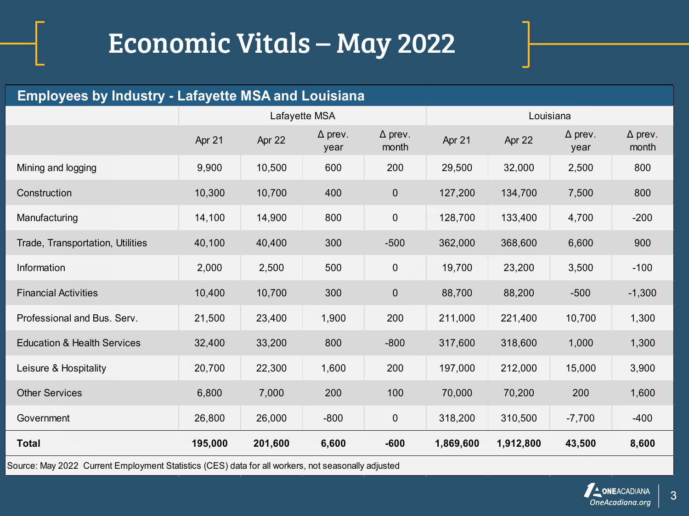| <b>Employees by Industry - Lafayette MSA and Louisiana</b> |         |         |                        |                         |           |           |                        |                         |
|------------------------------------------------------------|---------|---------|------------------------|-------------------------|-----------|-----------|------------------------|-------------------------|
|                                                            |         |         | Lafayette MSA          |                         |           | Louisiana |                        |                         |
|                                                            | Apr 21  | Apr 22  | $\Delta$ prev.<br>year | $\Delta$ prev.<br>month | Apr 21    | Apr 22    | $\Delta$ prev.<br>year | $\Delta$ prev.<br>month |
| Mining and logging                                         | 9,900   | 10,500  | 600                    | 200                     | 29,500    | 32,000    | 2,500                  | 800                     |
| Construction                                               | 10,300  | 10,700  | 400                    | 0                       | 127,200   | 134,700   | 7,500                  | 800                     |
| Manufacturing                                              | 14,100  | 14,900  | 800                    | $\pmb{0}$               | 128,700   | 133,400   | 4,700                  | $-200$                  |
| Trade, Transportation, Utilities                           | 40,100  | 40,400  | 300                    | $-500$                  | 362,000   | 368,600   | 6,600                  | 900                     |
| Information                                                | 2,000   | 2,500   | 500                    | $\pmb{0}$               | 19,700    | 23,200    | 3,500                  | $-100$                  |
| <b>Financial Activities</b>                                | 10,400  | 10,700  | 300                    | $\boldsymbol{0}$        | 88,700    | 88,200    | $-500$                 | $-1,300$                |
| Professional and Bus. Serv.                                | 21,500  | 23,400  | 1,900                  | 200                     | 211,000   | 221,400   | 10,700                 | 1,300                   |
| <b>Education &amp; Health Services</b>                     | 32,400  | 33,200  | 800                    | $-800$                  | 317,600   | 318,600   | 1,000                  | 1,300                   |
| Leisure & Hospitality                                      | 20,700  | 22,300  | 1,600                  | 200                     | 197,000   | 212,000   | 15,000                 | 3,900                   |
| <b>Other Services</b>                                      | 6,800   | 7,000   | 200                    | 100                     | 70,000    | 70,200    | 200                    | 1,600                   |
| Government                                                 | 26,800  | 26,000  | $-800$                 | $\pmb{0}$               | 318,200   | 310,500   | $-7,700$               | $-400$                  |
| <b>Total</b>                                               | 195,000 | 201,600 | 6,600                  | $-600$                  | 1,869,600 | 1,912,800 | 43,500                 | 8,600                   |

Source: May 2022 Current Employment Statistics (CES) data for all workers, not seasonally adjusted

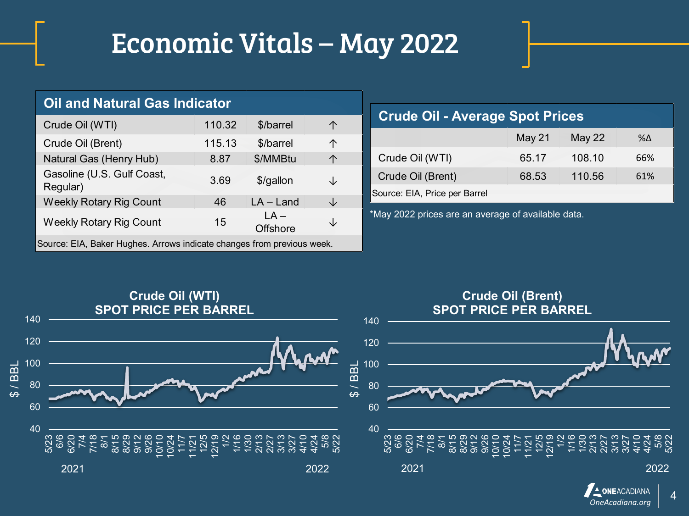| <b>Oil and Natural Gas Indicator</b>                                   |        |                           |   |  |  |  |
|------------------------------------------------------------------------|--------|---------------------------|---|--|--|--|
| Crude Oil (WTI)                                                        | 110.32 | \$/barrel                 | 个 |  |  |  |
| Crude Oil (Brent)                                                      | 115.13 | \$/barrel                 | 个 |  |  |  |
| Natural Gas (Henry Hub)                                                | 8.87   | \$/MMBtu                  | 个 |  |  |  |
| Gasoline (U.S. Gulf Coast,<br>Regular)                                 | 3.69   | \$/gallon                 | ↓ |  |  |  |
| <b>Weekly Rotary Rig Count</b>                                         | 46     | $LA - Land$               | J |  |  |  |
| <b>Weekly Rotary Rig Count</b>                                         | 15     | $LA -$<br><b>Offshore</b> | ↓ |  |  |  |
| Source: EIA, Baker Hughes. Arrows indicate changes from previous week. |        |                           |   |  |  |  |

## May 21 May 22 %Δ Crude Oil (WTI) 65.17 108.10 66% Crude Oil (Brent) 68.53 110.56 61% **Crude Oil - Average Spot Prices** Source: EIA, Price per Barrel

\*May 2022 prices are an average of available data.



## 4 *OneAcadiana.org*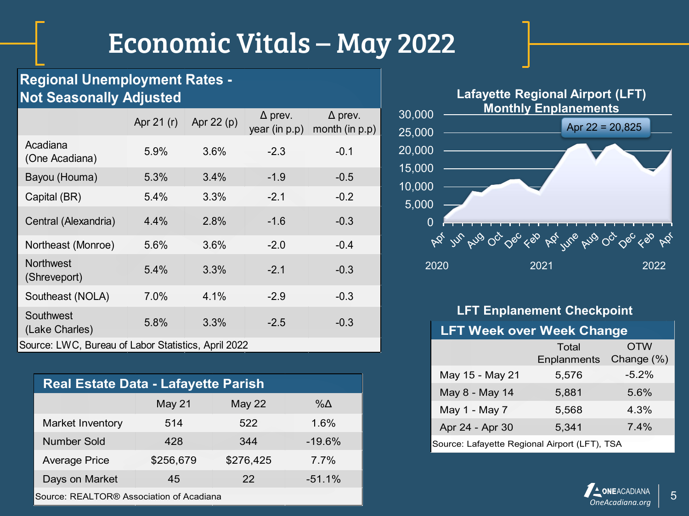### **Regional Unemployment Rates - Not Seasonally Adjusted**

|                                                     | Apr 21 (r) | Apr 22 (p) | $\Delta$ prev.<br>year (in p.p) | $\Delta$ prev.<br>month (in $p.p$ ) |  |
|-----------------------------------------------------|------------|------------|---------------------------------|-------------------------------------|--|
| Acadiana<br>(One Acadiana)                          | 5.9%       | 3.6%       | $-2.3$                          | $-0.1$                              |  |
| Bayou (Houma)                                       | 5.3%       | 3.4%       | $-1.9$                          | $-0.5$                              |  |
| Capital (BR)                                        | 5.4%       | 3.3%       | $-2.1$                          | $-0.2$                              |  |
| Central (Alexandria)                                | 4.4%       | 2.8%       | $-1.6$                          | $-0.3$                              |  |
| Northeast (Monroe)                                  | 5.6%       | 3.6%       | $-2.0$                          | $-0.4$                              |  |
| <b>Northwest</b><br>(Shreveport)                    | 5.4%       | 3.3%       | $-2.1$                          | $-0.3$                              |  |
| Southeast (NOLA)                                    | 7.0%       | 4.1%       | $-2.9$                          | $-0.3$                              |  |
| Southwest<br>(Lake Charles)                         | 5.8%       | 3.3%       | $-2.5$                          | $-0.3$                              |  |
| Source: LWC, Bureau of Labor Statistics, April 2022 |            |            |                                 |                                     |  |

| <b>Real Estate Data - Lafayette Parish</b> |           |           |          |  |
|--------------------------------------------|-----------|-----------|----------|--|
|                                            | May 21    | May 22    | %Δ       |  |
| Market Inventory                           | 514       | 522       | 1.6%     |  |
| <b>Number Sold</b>                         | 428       | 344       | $-19.6%$ |  |
| <b>Average Price</b>                       | \$256,679 | \$276,425 | $7.7\%$  |  |
| Days on Market                             | 45        | 22        | $-51.1%$ |  |
|                                            |           |           |          |  |



#### **LFT Enplanement Checkpoint**

#### **LFT Week over Week Change**

|                                               | Total       | <b>OTW</b> |  |  |  |
|-----------------------------------------------|-------------|------------|--|--|--|
|                                               | Enplanments | Change (%) |  |  |  |
| May 15 - May 21                               | 5,576       | $-5.2\%$   |  |  |  |
| May 8 - May 14                                | 5,881       | 5.6%       |  |  |  |
| May 1 - May 7                                 | 5.568       | 4.3%       |  |  |  |
| Apr 24 - Apr 30                               | 5,341       | $7.4\%$    |  |  |  |
| Source: Lafayette Regional Airport (LFT), TSA |             |            |  |  |  |



Source: REALTOR® Association of Acadiana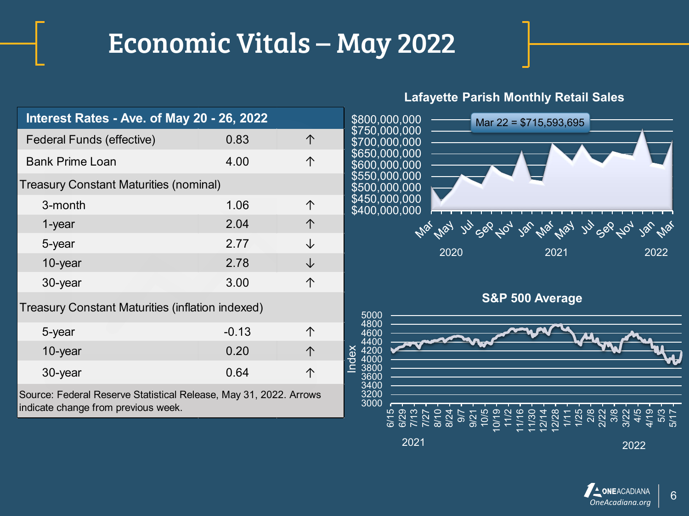| Interest Rates - Ave. of May 20 - 26, 2022       |                                                                   |   |  |  |
|--------------------------------------------------|-------------------------------------------------------------------|---|--|--|
| Federal Funds (effective)                        | 0.83                                                              | 个 |  |  |
| <b>Bank Prime Loan</b>                           | 4.00                                                              | 个 |  |  |
| <b>Treasury Constant Maturities (nominal)</b>    |                                                                   |   |  |  |
| 3-month                                          | 1.06                                                              | 个 |  |  |
| 1-year                                           | 2.04                                                              | 个 |  |  |
| 5-year                                           | 2.77                                                              | ↓ |  |  |
| 10-year                                          | 2.78                                                              | ↓ |  |  |
| 30-year                                          | 3.00                                                              | 个 |  |  |
| Treasury Constant Maturities (inflation indexed) |                                                                   |   |  |  |
| 5-year                                           | $-0.13$                                                           | 个 |  |  |
| 10-year                                          | 0.20                                                              | 个 |  |  |
| 30-year                                          | 0.64                                                              | 个 |  |  |
| indicate change from previous week.              | Source: Federal Reserve Statistical Release, May 31, 2022. Arrows |   |  |  |

#### **Lafayette Parish Monthly Retail Sales**



**S&P 500 Average**